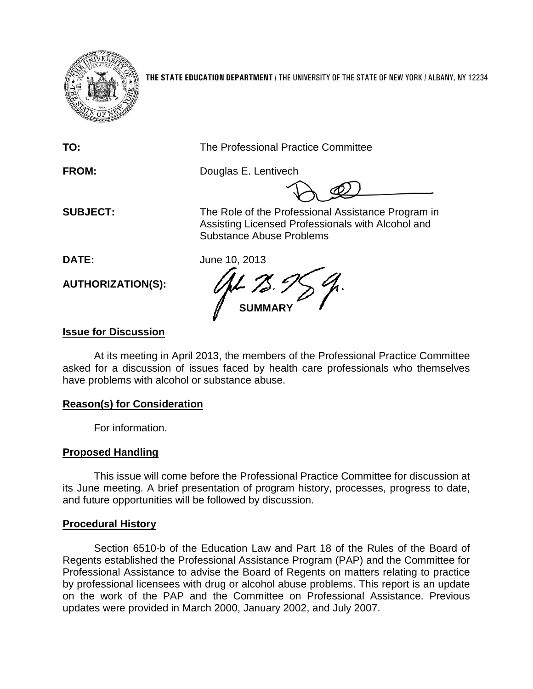

**THE STATE EDUCATION DEPARTMENT** / THE UNIVERSITY OF THE STATE OF NEW YORK / ALBANY, NY 12234

**TO:** The Professional Practice Committee

**FROM:** Douglas E. Lentivech

**SUBJECT:** The Role of the Professional Assistance Program in Assisting Licensed Professionals with Alcohol and Substance Abuse Problems

**DATE:** June 10, 2013

**AUTHORIZATION(S):**

**SUMMARY**

## **Issue for Discussion**

At its meeting in April 2013, the members of the Professional Practice Committee asked for a discussion of issues faced by health care professionals who themselves have problems with alcohol or substance abuse.

## **Reason(s) for Consideration**

For information.

# **Proposed Handling**

This issue will come before the Professional Practice Committee for discussion at its June meeting. A brief presentation of program history, processes, progress to date, and future opportunities will be followed by discussion.

## **Procedural History**

Section 6510-b of the Education Law and Part 18 of the Rules of the Board of Regents established the Professional Assistance Program (PAP) and the Committee for Professional Assistance to advise the Board of Regents on matters relating to practice by professional licensees with drug or alcohol abuse problems. This report is an update on the work of the PAP and the Committee on Professional Assistance. Previous updates were provided in March 2000, January 2002, and July 2007.